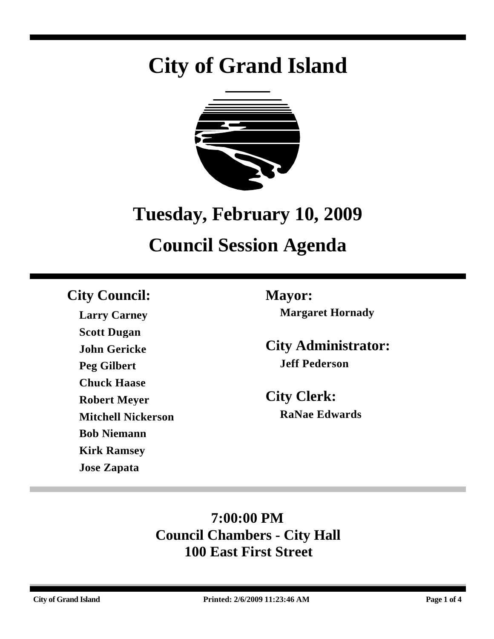# **City of Grand Island**



## **Tuesday, February 10, 2009**

## **Council Session Agenda**

### **City Council: Mayor:**

**Larry Carney Scott Dugan John Gericke Peg Gilbert Chuck Haase Robert Meyer Mitchell Nickerson Bob Niemann Kirk Ramsey Jose Zapata**

**Margaret Hornady**

**City Administrator: Jeff Pederson**

**City Clerk: RaNae Edwards**

### **7:00:00 PM Council Chambers - City Hall 100 East First Street**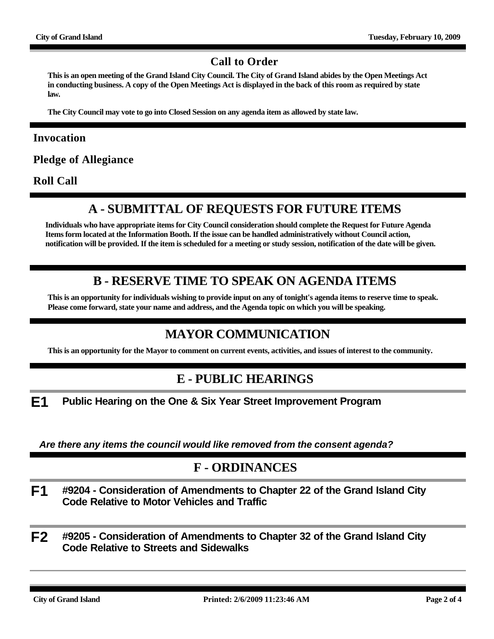#### **Call to Order**

**This is an open meeting of the Grand Island City Council. The City of Grand Island abides by the Open Meetings Act in conducting business. A copy of the Open Meetings Act is displayed in the back of this room as required by state law.**

**The City Council may vote to go into Closed Session on any agenda item as allowed by state law.**

#### **Invocation**

**Pledge of Allegiance**

**Roll Call**

#### **A - SUBMITTAL OF REQUESTS FOR FUTURE ITEMS**

**Individuals who have appropriate items for City Council consideration should complete the Request for Future Agenda Items form located at the Information Booth. If the issue can be handled administratively without Council action, notification will be provided. If the item is scheduled for a meeting or study session, notification of the date will be given.**

#### **B - RESERVE TIME TO SPEAK ON AGENDA ITEMS**

**This is an opportunity for individuals wishing to provide input on any of tonight's agenda items to reserve time to speak. Please come forward, state your name and address, and the Agenda topic on which you will be speaking.**

#### **MAYOR COMMUNICATION**

**This is an opportunity for the Mayor to comment on current events, activities, and issues of interest to the community.**

#### **E - PUBLIC HEARINGS**

**E1 Public Hearing on the One & Six Year Street Improvement Program**

*Are there any items the council would like removed from the consent agenda?*

#### **F - ORDINANCES**

- **F1 #9204 Consideration of Amendments to Chapter 22 of the Grand Island City Code Relative to Motor Vehicles and Traffic**
- **F2 #9205 Consideration of Amendments to Chapter 32 of the Grand Island City Code Relative to Streets and Sidewalks**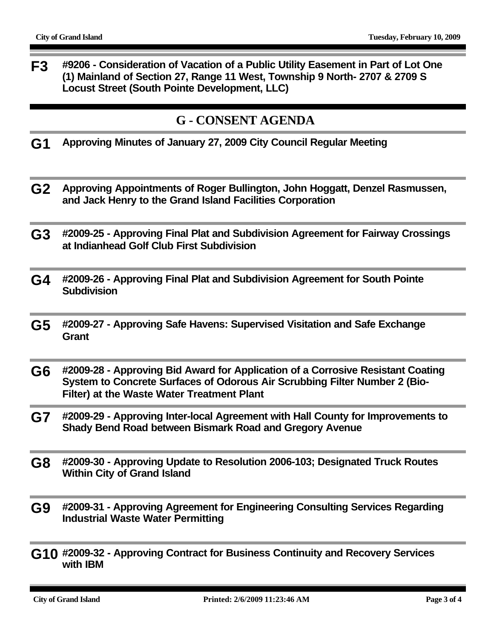**F3 #9206 - Consideration of Vacation of a Public Utility Easement in Part of Lot One (1) Mainland of Section 27, Range 11 West, Township 9 North- 2707 & 2709 S Locust Street (South Pointe Development, LLC)**

#### **G - CONSENT AGENDA**

- **G1 Approving Minutes of January 27, 2009 City Council Regular Meeting**
- **G2 Approving Appointments of Roger Bullington, John Hoggatt, Denzel Rasmussen, and Jack Henry to the Grand Island Facilities Corporation**
- **G3 #2009-25 Approving Final Plat and Subdivision Agreement for Fairway Crossings at Indianhead Golf Club First Subdivision**
- **G4 #2009-26 Approving Final Plat and Subdivision Agreement for South Pointe Subdivision**
- **G5 #2009-27 Approving Safe Havens: Supervised Visitation and Safe Exchange Grant**
- **G6 #2009-28 Approving Bid Award for Application of a Corrosive Resistant Coating System to Concrete Surfaces of Odorous Air Scrubbing Filter Number 2 (Bio-Filter) at the Waste Water Treatment Plant**
- **G7 #2009-29 Approving Inter-local Agreement with Hall County for Improvements to Shady Bend Road between Bismark Road and Gregory Avenue**
- **G8 #2009-30 Approving Update to Resolution 2006-103; Designated Truck Routes Within City of Grand Island**
- **G9 #2009-31 Approving Agreement for Engineering Consulting Services Regarding Industrial Waste Water Permitting**
- **G10 #2009-32 Approving Contract for Business Continuity and Recovery Services with IBM**